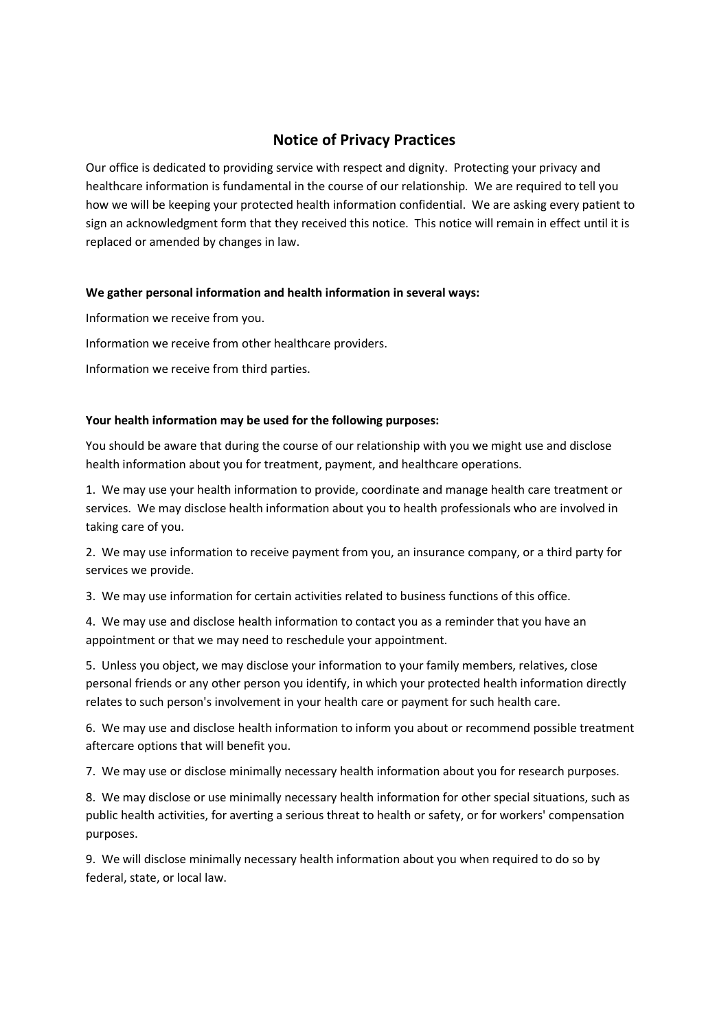# **Notice of Privacy Practices**

Our office is dedicated to providing service with respect and dignity. Protecting your privacy and healthcare information is fundamental in the course of our relationship. We are required to tell you how we will be keeping your protected health information confidential. We are asking every patient to sign an acknowledgment form that they received this notice. This notice will remain in effect until it is replaced or amended by changes in law.

# **We gather personal information and health information in several ways:**

Information we receive from you.

Information we receive from other healthcare providers.

Information we receive from third parties.

# **Your health information may be used for the following purposes:**

You should be aware that during the course of our relationship with you we might use and disclose health information about you for treatment, payment, and healthcare operations.

1. We may use your health information to provide, coordinate and manage health care treatment or services. We may disclose health information about you to health professionals who are involved in taking care of you.

2. We may use information to receive payment from you, an insurance company, or a third party for services we provide.

3. We may use information for certain activities related to business functions of this office.

4. We may use and disclose health information to contact you as a reminder that you have an appointment or that we may need to reschedule your appointment.

5. Unless you object, we may disclose your information to your family members, relatives, close personal friends or any other person you identify, in which your protected health information directly relates to such person's involvement in your health care or payment for such health care.

6. We may use and disclose health information to inform you about or recommend possible treatment aftercare options that will benefit you.

7. We may use or disclose minimally necessary health information about you for research purposes.

8. We may disclose or use minimally necessary health information for other special situations, such as public health activities, for averting a serious threat to health or safety, or for workers' compensation purposes.

9. We will disclose minimally necessary health information about you when required to do so by federal, state, or local law.